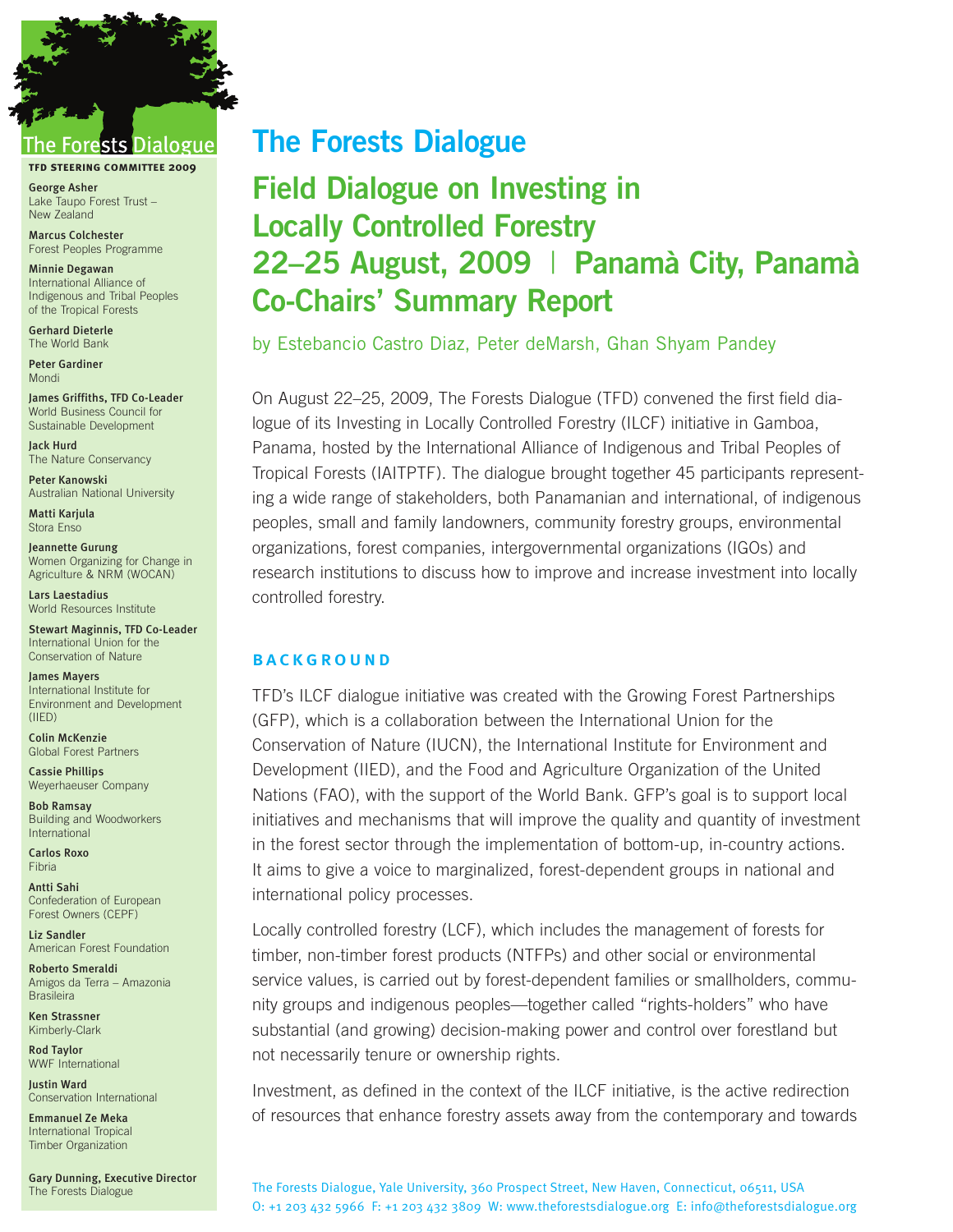

## ests Dialogue

**tfd steering committee 2009**

**George Asher** Lake Taupo Forest Trust – New Zealand

**Marcus Colchester** Forest Peoples Programme

**Minnie Degawan** International Alliance of Indigenous and Tribal Peoples of the Tropical Forests

**Gerhard Dieterle** The World Bank

**Peter Gardiner** Mondi

**James Griffiths, TFD Co-Leader** World Business Council for Sustainable Development

**Jack Hurd** The Nature Conservancy

**Peter Kanowski** Australian National University

**Matti Karjula** Stora Enso

**Jeannette Gurung** Women Organizing for Change in Agriculture & NRM (WOCAN)

**Lars Laestadius** World Resources Institute

**Stewart Maginnis, TFD Co-Leader** International Union for the Conservation of Nature

**James Mayers** International Institute for Environment and Development (IIED)

**Colin McKenzie** Global Forest Partners

**Cassie Phillips** Weyerhaeuser Company

**Bob Ramsay** Building and Woodworkers International

**Carlos Roxo** Fibria

**Antti Sahi** Confederation of European Forest Owners (CEPF)

**Liz Sandler** American Forest Foundation

**Roberto Smeraldi** Amigos da Terra – Amazonia **Brasileira** 

**Ken Strassner** Kimberly-Clark

**Rod Taylor** WWF International

**Justin Ward** Conservation International

**Emmanuel Ze Meka** International Tropical Timber Organization

**Gary Dunning, Executive Director** The Forests Dialogue

## **The Forests Dialogue**

# **Field Dialogue on Investing in Locally Controlled Forestry 22–25 August, 2009** | **Panamà City, Panamà Co-Chairs' Summary Report**

by Estebancio Castro Diaz, Peter deMarsh, Ghan Shyam Pandey

On August 22–25, 2009, The Forests Dialogue (TFD) convened the first field dialogue of its Investing in Locally Controlled Forestry (ILCF) initiative in Gamboa, Panama, hosted by the International Alliance of Indigenous and Tribal Peoples of Tropical Forests (IAITPTF). The dialogue brought together 45 participants representing a wide range of stakeholders, both Panamanian and international, of indigenous peoples, small and family landowners, community forestry groups, environmental organizations, forest companies, intergovernmental organizations (IGOs) and research institutions to discuss how to improve and increase investment into locally controlled forestry.

## **BACKGROUND**

TFD's ILCF dialogue initiative was created with the Growing Forest Partnerships (GFP), which is a collaboration between the International Union for the Conservation of Nature (IUCN), the International Institute for Environment and Development (IIED), and the Food and Agriculture Organization of the United Nations (FAO), with the support of the World Bank. GFP's goal is to support local initiatives and mechanisms that will improve the quality and quantity of investment in the forest sector through the implementation of bottom-up, in-country actions. It aims to give a voice to marginalized, forest-dependent groups in national and international policy processes.

Locally controlled forestry (LCF), which includes the management of forests for timber, non-timber forest products (NTFPs) and other social or environmental service values, is carried out by forest-dependent families or smallholders, community groups and indigenous peoples—together called "rights-holders" who have substantial (and growing) decision-making power and control over forestland but not necessarily tenure or ownership rights.

Investment, as defined in the context of the ILCF initiative, is the active redirection of resources that enhance forestry assets away from the contemporary and towards

The Forests Dialogue, Yale University, 360 Prospect Street, New Haven, Connecticut, 06511, USA O: +1 203 432 5966 F: +1 203 432 3809 W: www.theforestsdialogue.org E: info@theforestsdialogue.org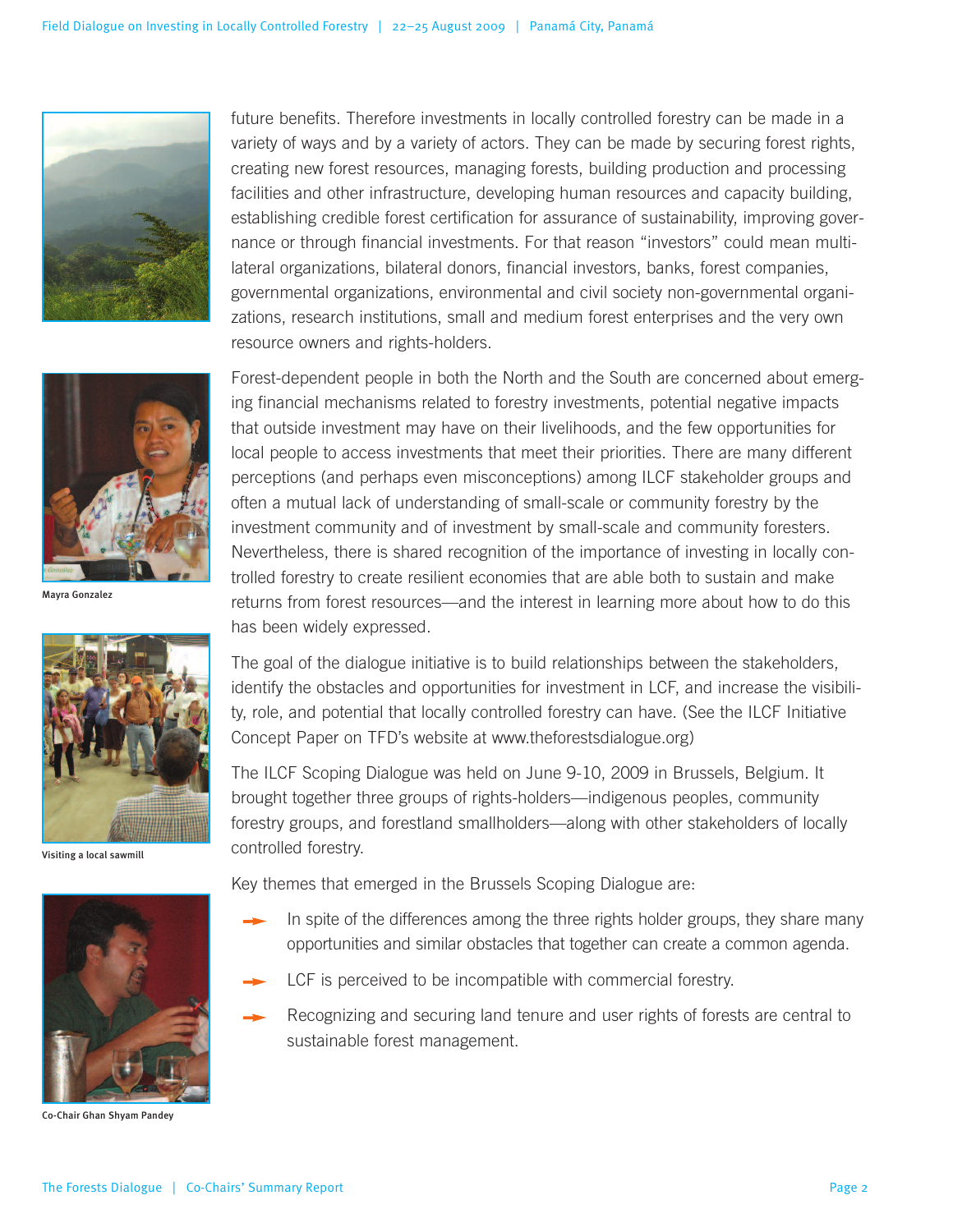



**Mayra Gonzalez**



**Visiting a local sawmill**



**Co-Chair Ghan Shyam Pandey**

future benefits. Therefore investments in locally controlled forestry can be made in a variety of ways and by a variety of actors. They can be made by securing forest rights, creating new forest resources, managing forests, building production and processing facilities and other infrastructure, developing human resources and capacity building, establishing credible forest certification for assurance of sustainability, improving governance or through financial investments. For that reason "investors" could mean multilateral organizations, bilateral donors, financial investors, banks, forest companies, governmental organizations, environmental and civil society non-governmental organizations, research institutions, small and medium forest enterprises and the very own resource owners and rights-holders.

Forest-dependent people in both the North and the South are concerned about emerging financial mechanisms related to forestry investments, potential negative impacts that outside investment may have on their livelihoods, and the few opportunities for local people to access investments that meet their priorities. There are many different perceptions (and perhaps even misconceptions) among ILCF stakeholder groups and often a mutual lack of understanding of small-scale or community forestry by the investment community and of investment by small-scale and community foresters. Nevertheless, there is shared recognition of the importance of investing in locally controlled forestry to create resilient economies that are able both to sustain and make returns from forest resources—and the interest in learning more about how to do this has been widely expressed.

The goal of the dialogue initiative is to build relationships between the stakeholders, identify the obstacles and opportunities for investment in LCF, and increase the visibility, role, and potential that locally controlled forestry can have. (See the ILCF Initiative Concept Paper on TFD's website at www.theforestsdialogue.org)

The ILCF Scoping Dialogue was held on June 9-10, 2009 in Brussels, Belgium. It brought together three groups of rights-holders—indigenous peoples, community forestry groups, and forestland smallholders—along with other stakeholders of locally controlled forestry.

Key themes that emerged in the Brussels Scoping Dialogue are:

- In spite of the differences among the three rights holder groups, they share many opportunities and similar obstacles that together can create a common agenda.
- LCF is perceived to be incompatible with commercial forestry.
- Recognizing and securing land tenure and user rights of forests are central to sustainable forest management.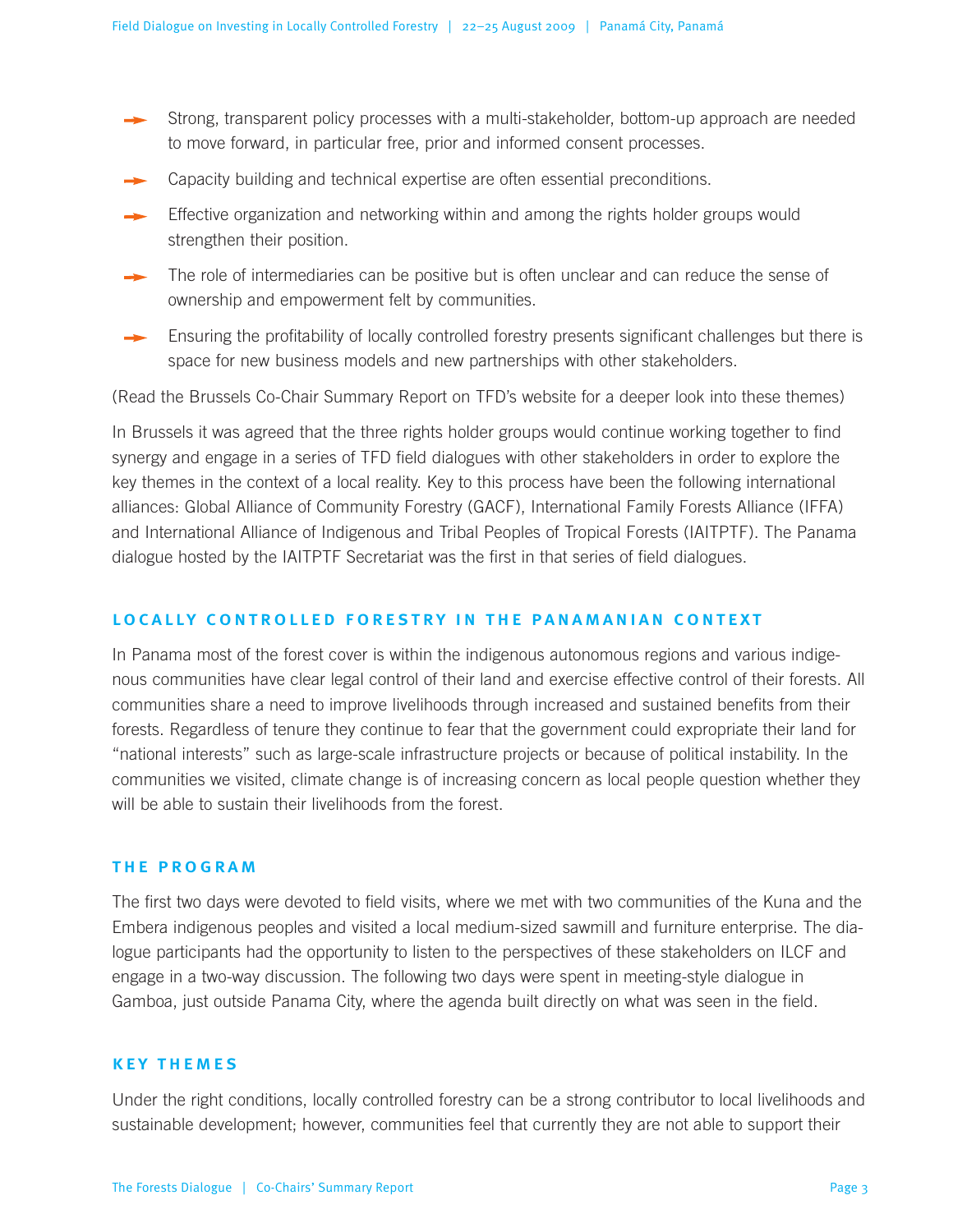- Strong, transparent policy processes with a multi-stakeholder, bottom-up approach are needed to move forward, in particular free, prior and informed consent processes.
- Capacity building and technical expertise are often essential preconditions.
- Effective organization and networking within and among the rights holder groups would strengthen their position.
- The role of intermediaries can be positive but is often unclear and can reduce the sense of ownership and empowerment felt by communities.
- Ensuring the profitability of locally controlled forestry presents significant challenges but there is space for new business models and new partnerships with other stakeholders.

(Read the Brussels Co-Chair Summary Report on TFD's website for a deeper look into these themes)

In Brussels it was agreed that the three rights holder groups would continue working together to find synergy and engage in a series of TFD field dialogues with other stakeholders in order to explore the key themes in the context of a local reality. Key to this process have been the following international alliances: Global Alliance of Community Forestry (GACF), International Family Forests Alliance (IFFA) and International Alliance of Indigenous and Tribal Peoples of Tropical Forests (IAITPTF). The Panama dialogue hosted by the IAITPTF Secretariat was the first in that series of field dialogues.

### **local ly control led forestry in the panamanian context**

In Panama most of the forest cover is within the indigenous autonomous regions and various indigenous communities have clear legal control of their land and exercise effective control of their forests. All communities share a need to improve livelihoods through increased and sustained benefits from their forests. Regardless of tenure they continue to fear that the government could expropriate their land for "national interests" such as large-scale infrastructure projects or because of political instability. In the communities we visited, climate change is of increasing concern as local people question whether they will be able to sustain their livelihoods from the forest.

#### **the program**

The first two days were devoted to field visits, where we met with two communities of the Kuna and the Embera indigenous peoples and visited a local medium-sized sawmill and furniture enterprise. The dialogue participants had the opportunity to listen to the perspectives of these stakeholders on ILCF and engage in a two-way discussion. The following two days were spent in meeting-style dialogue in Gamboa, just outside Panama City, where the agenda built directly on what was seen in the field.

#### **key themes**

Under the right conditions, locally controlled forestry can be a strong contributor to local livelihoods and sustainable development; however, communities feel that currently they are not able to support their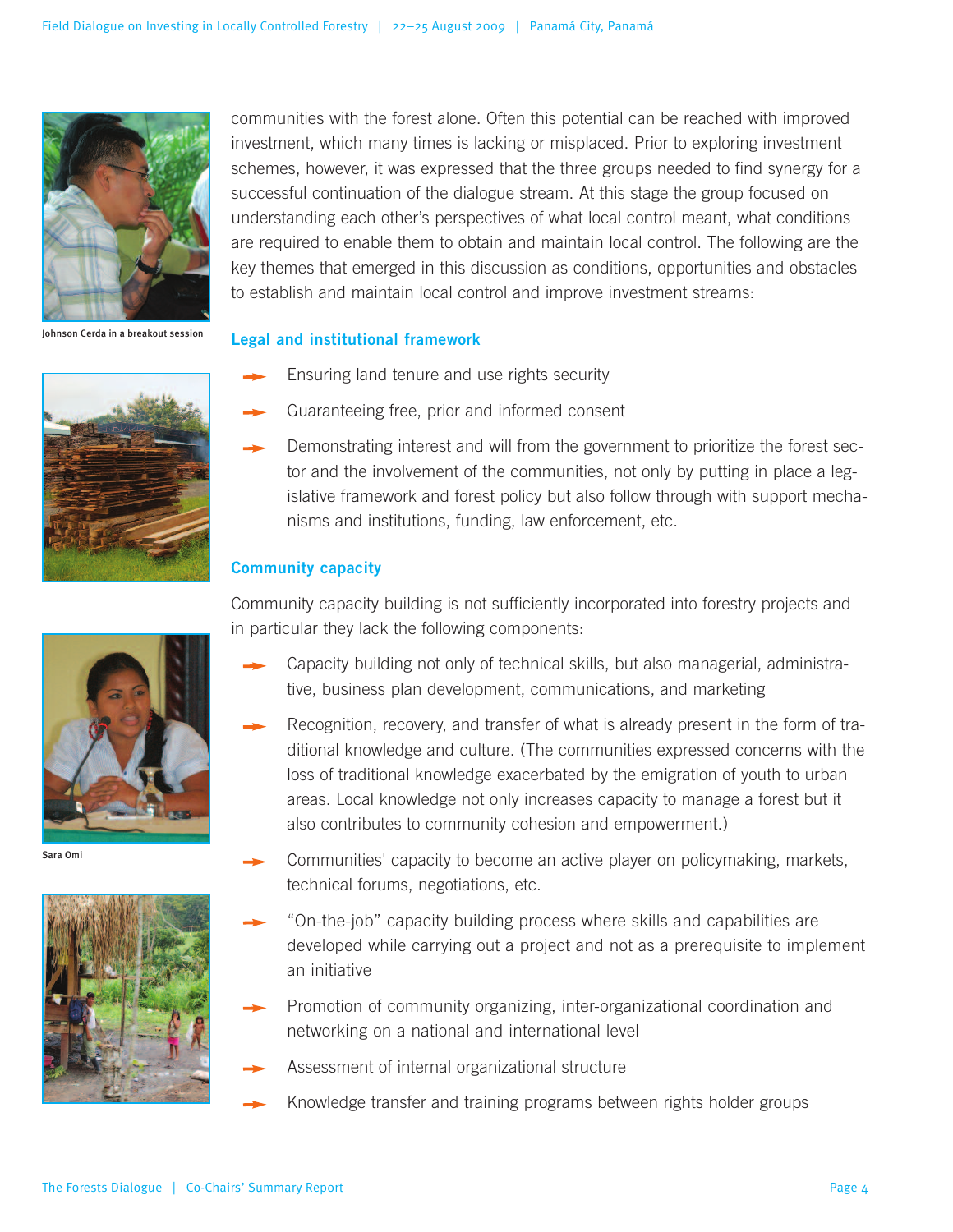

**Johnson Cerda in a breakout session**



communities with the forest alone. Often this potential can be reached with improved investment, which many times is lacking or misplaced. Prior to exploring investment schemes, however, it was expressed that the three groups needed to find synergy for a successful continuation of the dialogue stream. At this stage the group focused on understanding each other's perspectives of what local control meant, what conditions are required to enable them to obtain and maintain local control. The following are the key themes that emerged in this discussion as conditions, opportunities and obstacles to establish and maintain local control and improve investment streams:

#### **Legal and institutional framework**

- Ensuring land tenure and use rights security
- Guaranteeing free, prior and informed consent
- Demonstrating interest and will from the government to prioritize the forest sector and the involvement of the communities, not only by putting in place a legislative framework and forest policy but also follow through with support mechanisms and institutions, funding, law enforcement, etc.

#### **Community capacity**

Community capacity building is not sufficiently incorporated into forestry projects and in particular they lack the following components:

- Capacity building not only of technical skills, but also managerial, administrative, business plan development, communications, and marketing
- Recognition, recovery, and transfer of what is already present in the form of traditional knowledge and culture. (The communities expressed concerns with the loss of traditional knowledge exacerbated by the emigration of youth to urban areas. Local knowledge not only increases capacity to manage a forest but it also contributes to community cohesion and empowerment.)

**Sara Omi**



- Communities' capacity to become an active player on policymaking, markets, technical forums, negotiations, etc.
- "On-the-job" capacity building process where skills and capabilities are developed while carrying out a project and not as a prerequisite to implement an initiative
- Promotion of community organizing, inter-organizational coordination and networking on a national and international level
- Assessment of internal organizational structure
	- Knowledge transfer and training programs between rights holder groups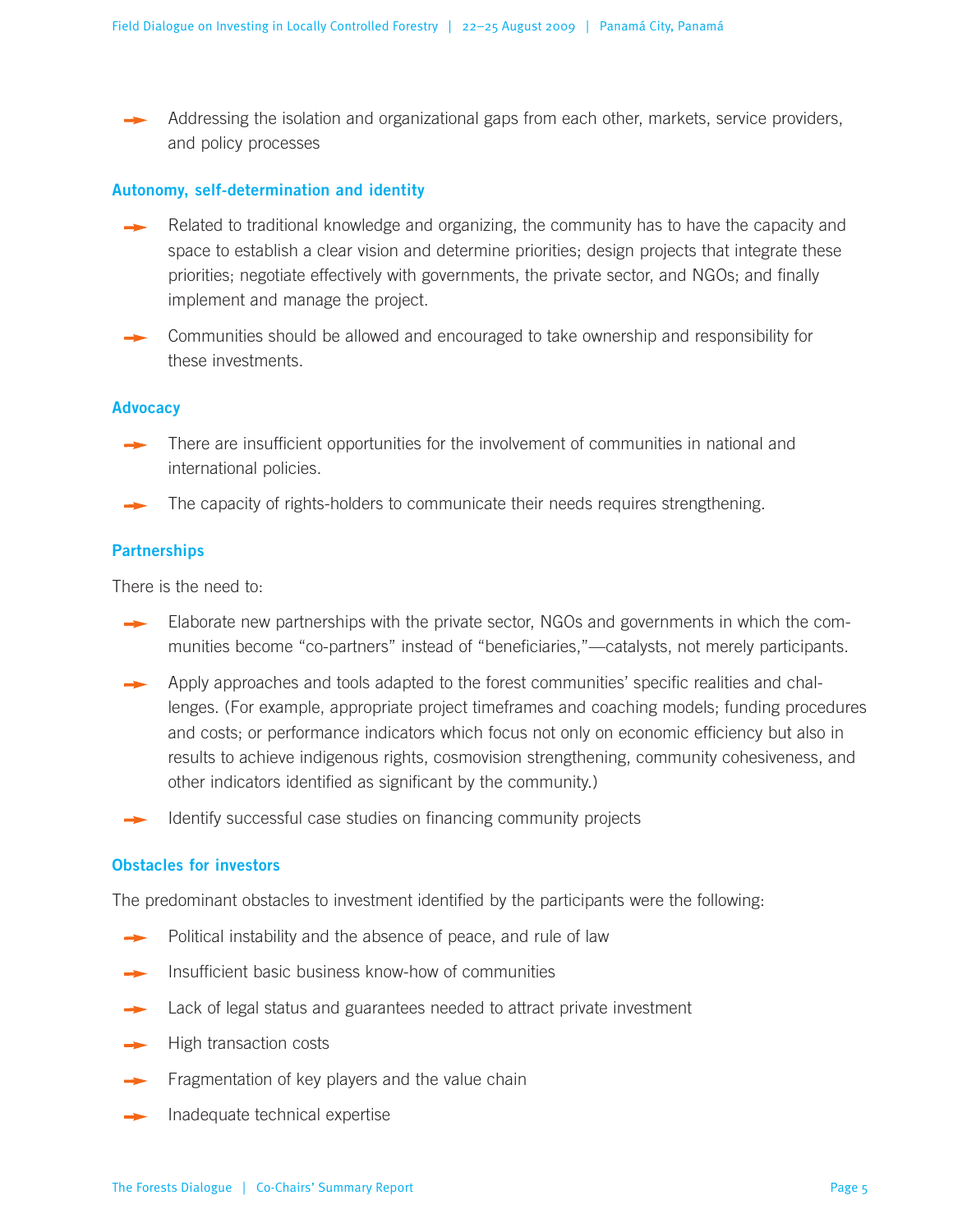Addressing the isolation and organizational gaps from each other, markets, service providers, and policy processes

#### **Autonomy, self-determination and identity**

- Related to traditional knowledge and organizing, the community has to have the capacity and space to establish a clear vision and determine priorities; design projects that integrate these priorities; negotiate effectively with governments, the private sector, and NGOs; and finally implement and manage the project.
- Communities should be allowed and encouraged to take ownership and responsibility for these investments.

#### **Advocacy**

- There are insufficient opportunities for the involvement of communities in national and international policies.
- The capacity of rights-holders to communicate their needs requires strengthening.

#### **Partnerships**

There is the need to:

- Elaborate new partnerships with the private sector, NGOs and governments in which the communities become "co-partners" instead of "beneficiaries,"—catalysts, not merely participants.
- Apply approaches and tools adapted to the forest communities' specific realities and challenges. (For example, appropriate project timeframes and coaching models; funding procedures and costs; or performance indicators which focus not only on economic efficiency but also in results to achieve indigenous rights, cosmovision strengthening, community cohesiveness, and other indicators identified as significant by the community.)
- Identify successful case studies on financing community projects

#### **Obstacles for investors**

The predominant obstacles to investment identified by the participants were the following:

- Political instability and the absence of peace, and rule of law
- Insufficient basic business know-how of communities
- Lack of legal status and guarantees needed to attract private investment
- High transaction costs
- Fragmentation of key players and the value chain
- Inadequate technical expertise